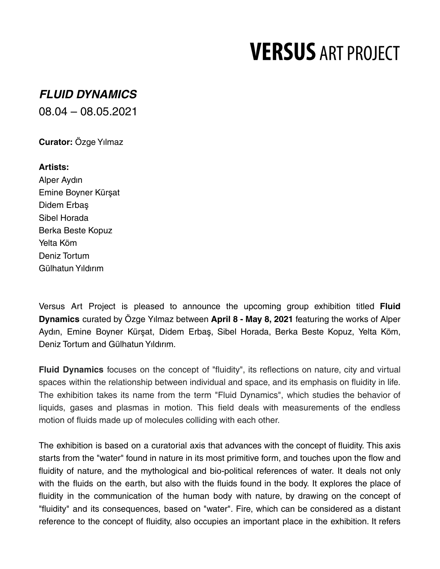## **VERSUS ART PROJECT**

## **FLUID DYNAMICS**

08.04 – 08.05.2021

**Curator:** Özge Yılmaz

**Artists:** Alper Aydın Emine Boyner Kürşat Didem Erbaş Sibel Horada Berka Beste Kopuz Yelta Köm Deniz Tortum Gülhatun Yıldırım

Versus Art Project is pleased to announce the upcoming group exhibition titled **Fluid Dynamics** curated by Özge Yılmaz between **April 8 - May 8, 2021** featuring the works of Alper Aydın, Emine Boyner Kürşat, Didem Erbaş, Sibel Horada, Berka Beste Kopuz, Yelta Köm, Deniz Tortum and Gülhatun Yıldırım.

**Fluid Dynamics** focuses on the concept of "fluidity", its reflections on nature, city and virtual spaces within the relationship between individual and space, and its emphasis on fluidity in life. The exhibition takes its name from the term "Fluid Dynamics", which studies the behavior of liquids, gases and plasmas in motion. This field deals with measurements of the endless motion of fluids made up of molecules colliding with each other.

The exhibition is based on a curatorial axis that advances with the concept of fluidity. This axis starts from the "water" found in nature in its most primitive form, and touches upon the flow and fluidity of nature, and the mythological and bio-political references of water. It deals not only with the fluids on the earth, but also with the fluids found in the body. It explores the place of fluidity in the communication of the human body with nature, by drawing on the concept of "fluidity" and its consequences, based on "water". Fire, which can be considered as a distant reference to the concept of fluidity, also occupies an important place in the exhibition. It refers